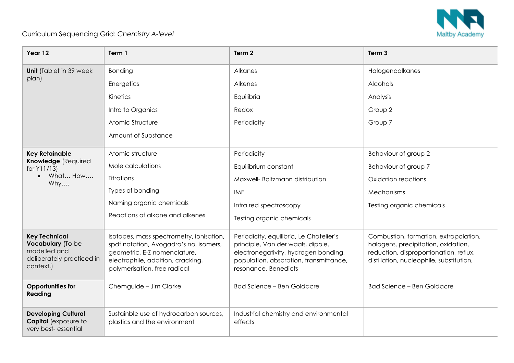

## Curriculum Sequencing Grid: *Chemistry A-level*

| Year 12                                                                                             | Term 1                                                                                                                                                                                  | Term 2                                                                                                                                                                                 | Term <sub>3</sub>                                                                                                                                                  |
|-----------------------------------------------------------------------------------------------------|-----------------------------------------------------------------------------------------------------------------------------------------------------------------------------------------|----------------------------------------------------------------------------------------------------------------------------------------------------------------------------------------|--------------------------------------------------------------------------------------------------------------------------------------------------------------------|
| <b>Unit</b> (Tablet in 39 week                                                                      | Bonding                                                                                                                                                                                 | Alkanes                                                                                                                                                                                | Halogenoalkanes                                                                                                                                                    |
| plan)                                                                                               | Energetics                                                                                                                                                                              | Alkenes                                                                                                                                                                                | Alcohols                                                                                                                                                           |
|                                                                                                     | Kinetics                                                                                                                                                                                | Equilibria                                                                                                                                                                             | Analysis                                                                                                                                                           |
|                                                                                                     | Intro to Organics                                                                                                                                                                       | Redox                                                                                                                                                                                  | Group 2                                                                                                                                                            |
|                                                                                                     | Atomic Structure                                                                                                                                                                        | Periodicity                                                                                                                                                                            | Group 7                                                                                                                                                            |
|                                                                                                     | Amount of Substance                                                                                                                                                                     |                                                                                                                                                                                        |                                                                                                                                                                    |
| <b>Key Retainable</b><br>Knowledge (Required<br>for Y11/13)<br>What How<br>$\bullet$<br>Why         | Atomic structure                                                                                                                                                                        | Periodicity                                                                                                                                                                            | Behaviour of group 2                                                                                                                                               |
|                                                                                                     | Mole calculations                                                                                                                                                                       | Equilibrium constant                                                                                                                                                                   | Behaviour of group 7                                                                                                                                               |
|                                                                                                     | <b>Titrations</b>                                                                                                                                                                       | Maxwell- Boltzmann distribution                                                                                                                                                        | Oxidation reactions                                                                                                                                                |
|                                                                                                     | Types of bonding                                                                                                                                                                        | <b>IMF</b>                                                                                                                                                                             | Mechanisms                                                                                                                                                         |
|                                                                                                     | Naming organic chemicals                                                                                                                                                                | Infra red spectroscopy                                                                                                                                                                 | Testing organic chemicals                                                                                                                                          |
|                                                                                                     | Reactions of alkane and alkenes                                                                                                                                                         | Testing organic chemicals                                                                                                                                                              |                                                                                                                                                                    |
| <b>Key Technical</b><br>Vocabulary (To be<br>modelled and<br>deliberately practiced in<br>context.) | Isotopes, mass spectrometry, ionisation,<br>spdf notation, Avogadro's no, isomers,<br>geometric, E-Z nomenclature,<br>electrophile, addition, cracking,<br>polymerisation, free radical | Periodicity, equilibria, Le Chatelier's<br>principle, Van der waals, dipole,<br>electronegativity, hydrogen bonding,<br>population, absorption, transmittance,<br>resonance, Benedicts | Combustion, formation, extrapolation,<br>halogens, precipitation, oxidation,<br>reduction, disproportionation, reflux,<br>distillation, nucleophile, substitution, |
| <b>Opportunities for</b><br>Reading                                                                 | Chemguide - Jim Clarke                                                                                                                                                                  | <b>Bad Science - Ben Goldacre</b>                                                                                                                                                      | <b>Bad Science - Ben Goldacre</b>                                                                                                                                  |
| <b>Developing Cultural</b><br><b>Capital</b> (exposure to<br>very best-essential                    | Sustainble use of hydrocarbon sources,<br>plastics and the environment                                                                                                                  | Industrial chemistry and environmental<br>effects                                                                                                                                      |                                                                                                                                                                    |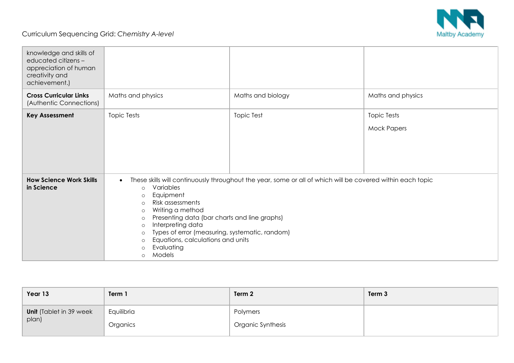

## Curriculum Sequencing Grid: *Chemistry A-level*

| knowledge and skills of<br>educated citizens -<br>appreciation of human<br>creativity and<br>achievement.) |                                                                                                                                                                                                                                                                                                                                                                                                                                                                                             |                   |                                          |
|------------------------------------------------------------------------------------------------------------|---------------------------------------------------------------------------------------------------------------------------------------------------------------------------------------------------------------------------------------------------------------------------------------------------------------------------------------------------------------------------------------------------------------------------------------------------------------------------------------------|-------------------|------------------------------------------|
| <b>Cross Curricular Links</b><br>(Authentic Connections)                                                   | Maths and physics                                                                                                                                                                                                                                                                                                                                                                                                                                                                           | Maths and biology | Maths and physics                        |
| <b>Key Assessment</b>                                                                                      | <b>Topic Tests</b>                                                                                                                                                                                                                                                                                                                                                                                                                                                                          | <b>Topic Test</b> | <b>Topic Tests</b><br><b>Mock Papers</b> |
| <b>How Science Work Skills</b><br>in Science                                                               | These skills will continuously throughout the year, some or all of which will be covered within each topic<br>$\bullet$<br>Variables<br>$\circ$<br>Equipment<br>$\circ$<br>Risk assessments<br>$\circ$<br>Writing a method<br>$\circ$<br>Presenting data (bar charts and line graphs)<br>$\circ$<br>Interpreting data<br>$\circ$<br>Types of error (measuring, systematic, random)<br>$\circ$<br>Equations, calculations and units<br>$\circ$<br>Evaluating<br>$\circ$<br>Models<br>$\circ$ |                   |                                          |

| Year 13                 | Term 1     | Term 2            | Term 3 |
|-------------------------|------------|-------------------|--------|
| Unit (Tablet in 39 week | Equilibria | Polymers          |        |
| plan)                   | Organics   | Organic Synthesis |        |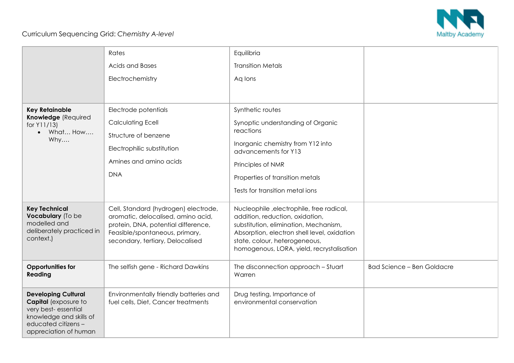

## Curriculum Sequencing Grid: *Chemistry A-level*

|                                                                                                                                                      | Rates                                                                                                                                                                                   | Equilibria                                                                                                                                                                                                                                        |                                   |
|------------------------------------------------------------------------------------------------------------------------------------------------------|-----------------------------------------------------------------------------------------------------------------------------------------------------------------------------------------|---------------------------------------------------------------------------------------------------------------------------------------------------------------------------------------------------------------------------------------------------|-----------------------------------|
|                                                                                                                                                      | Acids and Bases                                                                                                                                                                         | <b>Transition Metals</b>                                                                                                                                                                                                                          |                                   |
|                                                                                                                                                      | Electrochemistry                                                                                                                                                                        | Aq lons                                                                                                                                                                                                                                           |                                   |
|                                                                                                                                                      |                                                                                                                                                                                         |                                                                                                                                                                                                                                                   |                                   |
| <b>Key Retainable</b>                                                                                                                                | Electrode potentials                                                                                                                                                                    | Synthetic routes                                                                                                                                                                                                                                  |                                   |
| Knowledge (Required<br>for $Y11/13$                                                                                                                  | <b>Calculating Ecell</b>                                                                                                                                                                | Synoptic understanding of Organic                                                                                                                                                                                                                 |                                   |
| What How<br>Why                                                                                                                                      | Structure of benzene                                                                                                                                                                    | reactions                                                                                                                                                                                                                                         |                                   |
|                                                                                                                                                      | Electrophilic substitution                                                                                                                                                              | Inorganic chemistry from Y12 into<br>advancements for Y13                                                                                                                                                                                         |                                   |
|                                                                                                                                                      | Amines and amino acids                                                                                                                                                                  | Principles of NMR                                                                                                                                                                                                                                 |                                   |
|                                                                                                                                                      | <b>DNA</b>                                                                                                                                                                              | Properties of transition metals                                                                                                                                                                                                                   |                                   |
|                                                                                                                                                      |                                                                                                                                                                                         | Tests for transition metal ions                                                                                                                                                                                                                   |                                   |
| <b>Key Technical</b><br>Vocabulary (To be<br>modelled and<br>deliberately practiced in<br>context.)                                                  | Cell, Standard (hydrogen) electrode,<br>aromatic, delocalised, amino acid,<br>protein, DNA, potential difference,<br>Feasible/spontaneous, primary,<br>secondary, tertiary, Delocalised | Nucleophile, electrophile, free radical,<br>addition, reduction, oxidation,<br>substitution, elimination, Mechanism,<br>Absorption, electron shell level, oxidation<br>state, colour, heterogeneous,<br>homogenous, LORA, yield, recrystalisation |                                   |
| <b>Opportunities for</b><br>Reading                                                                                                                  | The selfish gene - Richard Dawkins                                                                                                                                                      | The disconnection approach - Stuart<br>Warren                                                                                                                                                                                                     | <b>Bad Science - Ben Goldacre</b> |
| <b>Developing Cultural</b><br>Capital (exposure to<br>very best-essential<br>knowledge and skills of<br>educated citizens -<br>appreciation of human | Environmentally friendly batteries and<br>fuel cells, Diet, Cancer treatments                                                                                                           | Drug testing, Importance of<br>environmental conservation                                                                                                                                                                                         |                                   |